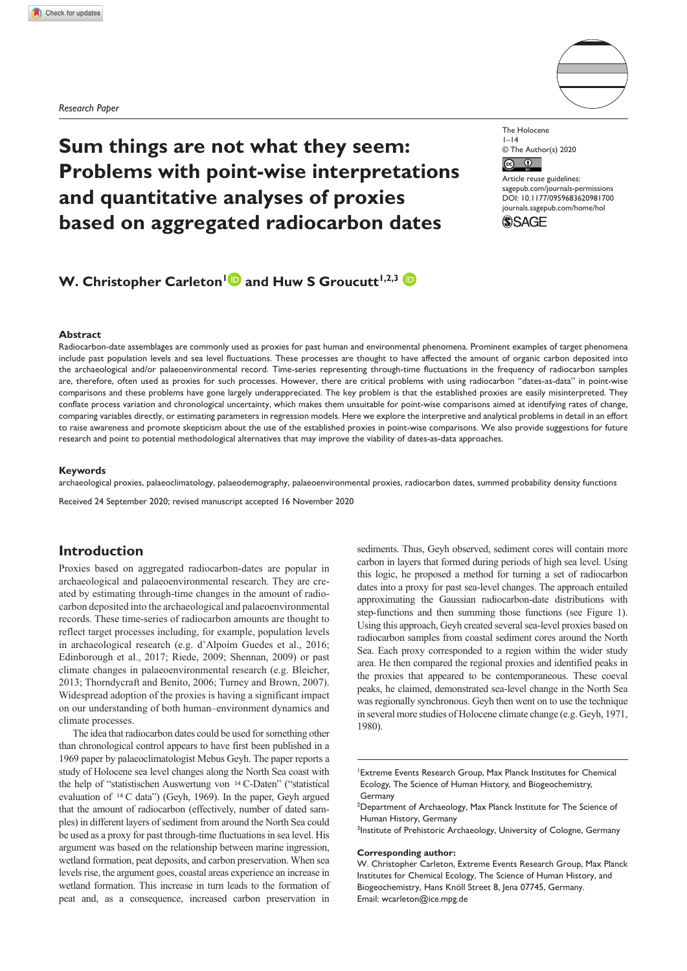*Research Paper*



# **Sum things are not what they seem: Problems with point-wise interpretations and quantitative analyses of proxies based on aggregated radiocarbon dates**

The Holocene  $1 - 14$ © The Author(s) 2020  $\sqrt{c}$  $\bigcirc$ 

Article reuse guidelines: [sagepub.com/journals-permissions](https://uk.sagepub.com/en-gb/journals-permissions) DOI: 10.1177/0959683620981700 [journals.sagepub.com/home/hol](https://journals.sagepub.com/home/hol) **SSAGE** 

# **W. Christopher Carleton<sup>1</sup> and Huw S Groucutt<sup>1,2,3</sup>**

#### **Abstract**

Radiocarbon-date assemblages are commonly used as proxies for past human and environmental phenomena. Prominent examples of target phenomena include past population levels and sea level fluctuations. These processes are thought to have affected the amount of organic carbon deposited into the archaeological and/or palaeoenvironmental record. Time-series representing through-time fluctuations in the frequency of radiocarbon samples are, therefore, often used as proxies for such processes. However, there are critical problems with using radiocarbon "dates-as-data" in point-wise comparisons and these problems have gone largely underappreciated. The key problem is that the established proxies are easily misinterpreted. They conflate process variation and chronological uncertainty, which makes them unsuitable for point-wise comparisons aimed at identifying rates of change, comparing variables directly, or estimating parameters in regression models. Here we explore the interpretive and analytical problems in detail in an effort to raise awareness and promote skepticism about the use of the established proxies in point-wise comparisons. We also provide suggestions for future research and point to potential methodological alternatives that may improve the viability of dates-as-data approaches.

#### **Keywords**

archaeological proxies, palaeoclimatology, palaeodemography, palaeoenvironmental proxies, radiocarbon dates, summed probability density functions

Received 24 September 2020; revised manuscript accepted 16 November 2020

# **Introduction**

Proxies based on aggregated radiocarbon-dates are popular in archaeological and palaeoenvironmental research. They are created by estimating through-time changes in the amount of radiocarbon deposited into the archaeological and palaeoenvironmental records. These time-series of radiocarbon amounts are thought to reflect target processes including, for example, population levels in archaeological research (e.g. d'Alpoim Guedes et al., 2016; Edinborough et al., 2017; Riede, 2009; Shennan, 2009) or past climate changes in palaeoenvironmental research (e.g. Bleicher, 2013; Thorndycraft and Benito, 2006; Turney and Brown, 2007). Widespread adoption of the proxies is having a significant impact on our understanding of both human–environment dynamics and climate processes.

The idea that radiocarbon dates could be used for something other than chronological control appears to have first been published in a 1969 paper by palaeoclimatologist Mebus Geyh. The paper reports a study of Holocene sea level changes along the North Sea coast with the help of "statistischen Auswertung von 14 C-Daten" ("statistical evaluation of 14 C data") (Geyh, 1969). In the paper, Geyh argued that the amount of radiocarbon (effectively, number of dated samples) in different layers of sediment from around the North Sea could be used as a proxy for past through-time fluctuations in sea level. His argument was based on the relationship between marine ingression, wetland formation, peat deposits, and carbon preservation. When sea levels rise, the argument goes, coastal areas experience an increase in wetland formation. This increase in turn leads to the formation of peat and, as a consequence, increased carbon preservation in

sediments. Thus, Geyh observed, sediment cores will contain more carbon in layers that formed during periods of high sea level. Using this logic, he proposed a method for turning a set of radiocarbon dates into a proxy for past sea-level changes. The approach entailed approximating the Gaussian radiocarbon-date distributions with step-functions and then summing those functions (see Figure 1). Using this approach, Geyh created several sea-level proxies based on radiocarbon samples from coastal sediment cores around the North Sea. Each proxy corresponded to a region within the wider study area. He then compared the regional proxies and identified peaks in the proxies that appeared to be contemporaneous. These coeval peaks, he claimed, demonstrated sea-level change in the North Sea was regionally synchronous. Geyh then went on to use the technique in several more studies of Holocene climate change (e.g. Geyh, 1971, 1980).

#### **Corresponding author:**

W. Christopher Carleton, Extreme Events Research Group, Max Planck Institutes for Chemical Ecology, The Science of Human History, and Biogeochemistry, Hans Knöll Street 8, Jena 07745, Germany. Email: [wcarleton@ice.mpg.de](mailto:wcarleton@ice.mpg.de)

<sup>1</sup> Extreme Events Research Group, Max Planck Institutes for Chemical Ecology, The Science of Human History, and Biogeochemistry, **Germany** 

<sup>&</sup>lt;sup>2</sup>Department of Archaeology, Max Planck Institute for The Science of Human History, Germany

<sup>&</sup>lt;sup>3</sup>Institute of Prehistoric Archaeology, University of Cologne, Germany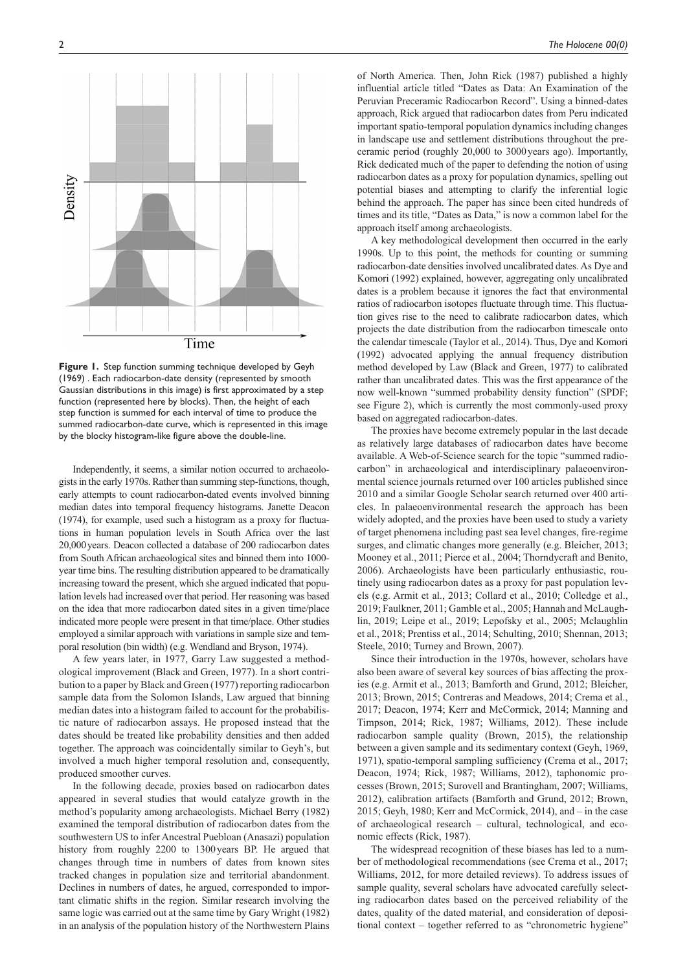

**Figure 1.** Step function summing technique developed by Geyh (1969) . Each radiocarbon-date density (represented by smooth Gaussian distributions in this image) is first approximated by a step function (represented here by blocks). Then, the height of each step function is summed for each interval of time to produce the summed radiocarbon-date curve, which is represented in this image by the blocky histogram-like figure above the double-line.

Independently, it seems, a similar notion occurred to archaeologists in the early 1970s. Rather than summing step-functions, though, early attempts to count radiocarbon-dated events involved binning median dates into temporal frequency histograms. Janette Deacon (1974), for example, used such a histogram as a proxy for fluctuations in human population levels in South Africa over the last 20,000years. Deacon collected a database of 200 radiocarbon dates from South African archaeological sites and binned them into 1000 year time bins. The resulting distribution appeared to be dramatically increasing toward the present, which she argued indicated that population levels had increased over that period. Her reasoning was based on the idea that more radiocarbon dated sites in a given time/place indicated more people were present in that time/place. Other studies employed a similar approach with variations in sample size and temporal resolution (bin width) (e.g. Wendland and Bryson, 1974).

A few years later, in 1977, Garry Law suggested a methodological improvement (Black and Green, 1977). In a short contribution to a paper by Black and Green (1977) reporting radiocarbon sample data from the Solomon Islands, Law argued that binning median dates into a histogram failed to account for the probabilistic nature of radiocarbon assays. He proposed instead that the dates should be treated like probability densities and then added together. The approach was coincidentally similar to Geyh's, but involved a much higher temporal resolution and, consequently, produced smoother curves.

In the following decade, proxies based on radiocarbon dates appeared in several studies that would catalyze growth in the method's popularity among archaeologists. Michael Berry (1982) examined the temporal distribution of radiocarbon dates from the southwestern US to infer Ancestral Puebloan (Anasazi) population history from roughly 2200 to 1300years BP. He argued that changes through time in numbers of dates from known sites tracked changes in population size and territorial abandonment. Declines in numbers of dates, he argued, corresponded to important climatic shifts in the region. Similar research involving the same logic was carried out at the same time by Gary Wright (1982) in an analysis of the population history of the Northwestern Plains

of North America. Then, John Rick (1987) published a highly influential article titled "Dates as Data: An Examination of the Peruvian Preceramic Radiocarbon Record". Using a binned-dates approach, Rick argued that radiocarbon dates from Peru indicated important spatio-temporal population dynamics including changes in landscape use and settlement distributions throughout the preceramic period (roughly 20,000 to 3000years ago). Importantly, Rick dedicated much of the paper to defending the notion of using radiocarbon dates as a proxy for population dynamics, spelling out potential biases and attempting to clarify the inferential logic behind the approach. The paper has since been cited hundreds of times and its title, "Dates as Data," is now a common label for the approach itself among archaeologists.

A key methodological development then occurred in the early 1990s. Up to this point, the methods for counting or summing radiocarbon-date densities involved uncalibrated dates. As Dye and Komori (1992) explained, however, aggregating only uncalibrated dates is a problem because it ignores the fact that environmental ratios of radiocarbon isotopes fluctuate through time. This fluctuation gives rise to the need to calibrate radiocarbon dates, which projects the date distribution from the radiocarbon timescale onto the calendar timescale (Taylor et al., 2014). Thus, Dye and Komori (1992) advocated applying the annual frequency distribution method developed by Law (Black and Green, 1977) to calibrated rather than uncalibrated dates. This was the first appearance of the now well-known "summed probability density function" (SPDF; see Figure 2), which is currently the most commonly-used proxy based on aggregated radiocarbon-dates.

The proxies have become extremely popular in the last decade as relatively large databases of radiocarbon dates have become available. A Web-of-Science search for the topic "summed radiocarbon" in archaeological and interdisciplinary palaeoenvironmental science journals returned over 100 articles published since 2010 and a similar Google Scholar search returned over 400 articles. In palaeoenvironmental research the approach has been widely adopted, and the proxies have been used to study a variety of target phenomena including past sea level changes, fire-regime surges, and climatic changes more generally (e.g. Bleicher, 2013; Mooney et al., 2011; Pierce et al., 2004; Thorndycraft and Benito, 2006). Archaeologists have been particularly enthusiastic, routinely using radiocarbon dates as a proxy for past population levels (e.g. Armit et al., 2013; Collard et al., 2010; Colledge et al., 2019; Faulkner, 2011; Gamble et al., 2005; Hannah and McLaughlin, 2019; Leipe et al., 2019; Lepofsky et al., 2005; Mclaughlin et al., 2018; Prentiss et al., 2014; Schulting, 2010; Shennan, 2013; Steele, 2010; Turney and Brown, 2007).

Since their introduction in the 1970s, however, scholars have also been aware of several key sources of bias affecting the proxies (e.g. Armit et al., 2013; Bamforth and Grund, 2012; Bleicher, 2013; Brown, 2015; Contreras and Meadows, 2014; Crema et al., 2017; Deacon, 1974; Kerr and McCormick, 2014; Manning and Timpson, 2014; Rick, 1987; Williams, 2012). These include radiocarbon sample quality (Brown, 2015), the relationship between a given sample and its sedimentary context (Geyh, 1969, 1971), spatio-temporal sampling sufficiency (Crema et al., 2017; Deacon, 1974; Rick, 1987; Williams, 2012), taphonomic processes (Brown, 2015; Surovell and Brantingham, 2007; Williams, 2012), calibration artifacts (Bamforth and Grund, 2012; Brown, 2015; Geyh, 1980; Kerr and McCormick, 2014), and – in the case of archaeological research – cultural, technological, and economic effects (Rick, 1987).

The widespread recognition of these biases has led to a number of methodological recommendations (see Crema et al., 2017; Williams, 2012, for more detailed reviews). To address issues of sample quality, several scholars have advocated carefully selecting radiocarbon dates based on the perceived reliability of the dates, quality of the dated material, and consideration of depositional context – together referred to as "chronometric hygiene"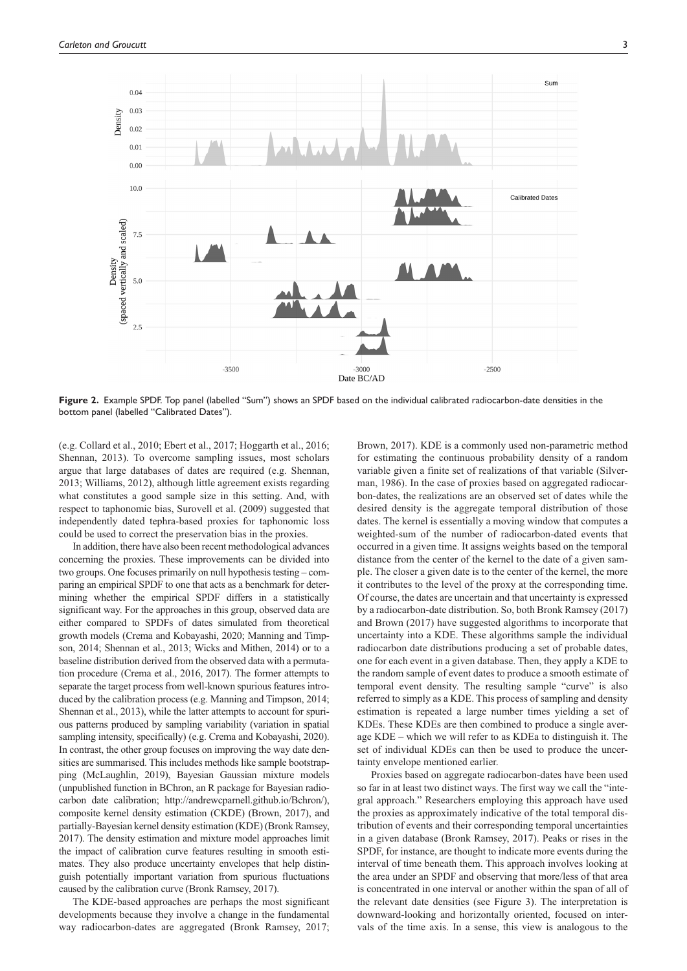

**Figure 2.** Example SPDF. Top panel (labelled "Sum") shows an SPDF based on the individual calibrated radiocarbon-date densities in the bottom panel (labelled "Calibrated Dates").

(e.g. Collard et al., 2010; Ebert et al., 2017; Hoggarth et al., 2016; Shennan, 2013). To overcome sampling issues, most scholars argue that large databases of dates are required (e.g. Shennan, 2013; Williams, 2012), although little agreement exists regarding what constitutes a good sample size in this setting. And, with respect to taphonomic bias, Surovell et al. (2009) suggested that independently dated tephra-based proxies for taphonomic loss could be used to correct the preservation bias in the proxies.

In addition, there have also been recent methodological advances concerning the proxies. These improvements can be divided into two groups. One focuses primarily on null hypothesis testing – comparing an empirical SPDF to one that acts as a benchmark for determining whether the empirical SPDF differs in a statistically significant way. For the approaches in this group, observed data are either compared to SPDFs of dates simulated from theoretical growth models (Crema and Kobayashi, 2020; Manning and Timpson, 2014; Shennan et al., 2013; Wicks and Mithen, 2014) or to a baseline distribution derived from the observed data with a permutation procedure (Crema et al., 2016, 2017). The former attempts to separate the target process from well-known spurious features introduced by the calibration process (e.g. Manning and Timpson, 2014; Shennan et al., 2013), while the latter attempts to account for spurious patterns produced by sampling variability (variation in spatial sampling intensity, specifically) (e.g. Crema and Kobayashi, 2020). In contrast, the other group focuses on improving the way date densities are summarised. This includes methods like sample bootstrapping (McLaughlin, 2019), Bayesian Gaussian mixture models (unpublished function in BChron, an R package for Bayesian radiocarbon date calibration; [http://andrewcparnell.github.io/Bchron/\)](http://andrewcparnell.github.io/Bchron/), composite kernel density estimation (CKDE) (Brown, 2017), and partially-Bayesian kernel density estimation (KDE) (Bronk Ramsey, 2017). The density estimation and mixture model approaches limit the impact of calibration curve features resulting in smooth estimates. They also produce uncertainty envelopes that help distinguish potentially important variation from spurious fluctuations caused by the calibration curve (Bronk Ramsey, 2017).

The KDE-based approaches are perhaps the most significant developments because they involve a change in the fundamental way radiocarbon-dates are aggregated (Bronk Ramsey, 2017; Brown, 2017). KDE is a commonly used non-parametric method for estimating the continuous probability density of a random variable given a finite set of realizations of that variable (Silverman, 1986). In the case of proxies based on aggregated radiocarbon-dates, the realizations are an observed set of dates while the desired density is the aggregate temporal distribution of those dates. The kernel is essentially a moving window that computes a weighted-sum of the number of radiocarbon-dated events that occurred in a given time. It assigns weights based on the temporal distance from the center of the kernel to the date of a given sample. The closer a given date is to the center of the kernel, the more it contributes to the level of the proxy at the corresponding time. Of course, the dates are uncertain and that uncertainty is expressed by a radiocarbon-date distribution. So, both Bronk Ramsey (2017) and Brown (2017) have suggested algorithms to incorporate that uncertainty into a KDE. These algorithms sample the individual radiocarbon date distributions producing a set of probable dates, one for each event in a given database. Then, they apply a KDE to the random sample of event dates to produce a smooth estimate of temporal event density. The resulting sample "curve" is also referred to simply as a KDE. This process of sampling and density estimation is repeated a large number times yielding a set of KDEs. These KDEs are then combined to produce a single average KDE – which we will refer to as KDEa to distinguish it. The set of individual KDEs can then be used to produce the uncertainty envelope mentioned earlier.

Proxies based on aggregate radiocarbon-dates have been used so far in at least two distinct ways. The first way we call the "integral approach." Researchers employing this approach have used the proxies as approximately indicative of the total temporal distribution of events and their corresponding temporal uncertainties in a given database (Bronk Ramsey, 2017). Peaks or rises in the SPDF, for instance, are thought to indicate more events during the interval of time beneath them. This approach involves looking at the area under an SPDF and observing that more/less of that area is concentrated in one interval or another within the span of all of the relevant date densities (see Figure 3). The interpretation is downward-looking and horizontally oriented, focused on intervals of the time axis. In a sense, this view is analogous to the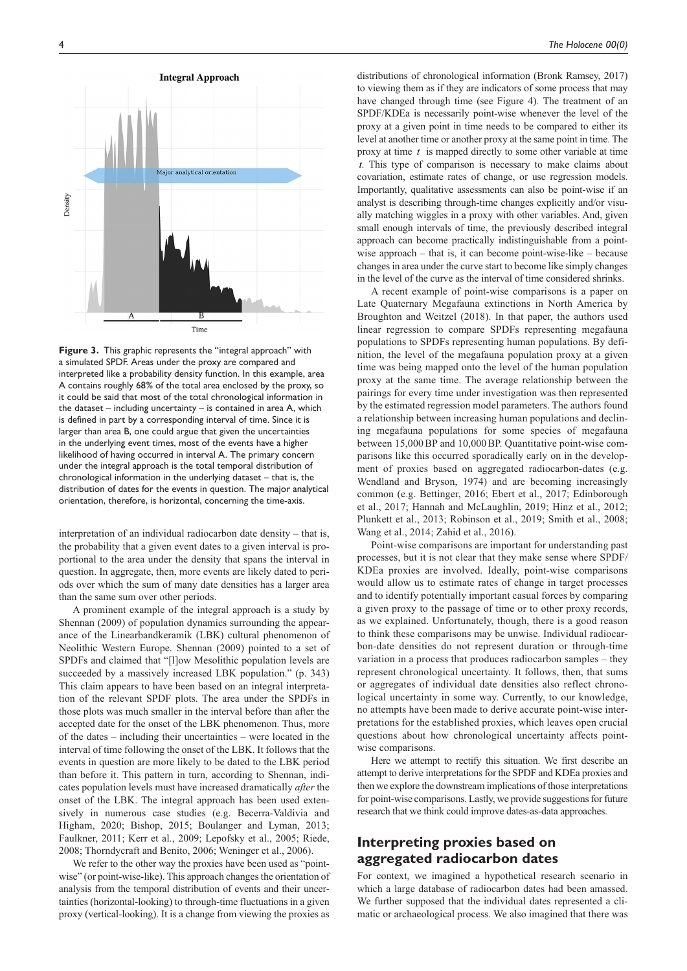

**Figure 3.** This graphic represents the "integral approach" with a simulated SPDF. Areas under the proxy are compared and interpreted like a probability density function. In this example, area A contains roughly 68% of the total area enclosed by the proxy, so it could be said that most of the total chronological information in the dataset – including uncertainty – is contained in area A, which is defined in part by a corresponding interval of time. Since it is larger than area B, one could argue that given the uncertainties in the underlying event times, most of the events have a higher likelihood of having occurred in interval A. The primary concern under the integral approach is the total temporal distribution of chronological information in the underlying dataset – that is, the distribution of dates for the events in question. The major analytical orientation, therefore, is horizontal, concerning the time-axis.

interpretation of an individual radiocarbon date density – that is, the probability that a given event dates to a given interval is proportional to the area under the density that spans the interval in question. In aggregate, then, more events are likely dated to periods over which the sum of many date densities has a larger area than the same sum over other periods.

A prominent example of the integral approach is a study by Shennan (2009) of population dynamics surrounding the appearance of the Linearbandkeramik (LBK) cultural phenomenon of Neolithic Western Europe. Shennan (2009) pointed to a set of SPDFs and claimed that "[l]ow Mesolithic population levels are succeeded by a massively increased LBK population." (p. 343) This claim appears to have been based on an integral interpretation of the relevant SPDF plots. The area under the SPDFs in those plots was much smaller in the interval before than after the accepted date for the onset of the LBK phenomenon. Thus, more of the dates – including their uncertainties – were located in the interval of time following the onset of the LBK. It follows that the events in question are more likely to be dated to the LBK period than before it. This pattern in turn, according to Shennan, indicates population levels must have increased dramatically *after* the onset of the LBK. The integral approach has been used extensively in numerous case studies (e.g. Becerra-Valdivia and Higham, 2020; Bishop, 2015; Boulanger and Lyman, 2013; Faulkner, 2011; Kerr et al., 2009; Lepofsky et al., 2005; Riede, 2008; Thorndycraft and Benito, 2006; Weninger et al., 2006).

We refer to the other way the proxies have been used as "pointwise" (or point-wise-like). This approach changes the orientation of analysis from the temporal distribution of events and their uncertainties (horizontal-looking) to through-time fluctuations in a given proxy (vertical-looking). It is a change from viewing the proxies as

distributions of chronological information (Bronk Ramsey, 2017) to viewing them as if they are indicators of some process that may have changed through time (see Figure 4). The treatment of an SPDF/KDEa is necessarily point-wise whenever the level of the proxy at a given point in time needs to be compared to either its level at another time or another proxy at the same point in time. The proxy at time *t* is mapped directly to some other variable at time *t*. This type of comparison is necessary to make claims about covariation, estimate rates of change, or use regression models. Importantly, qualitative assessments can also be point-wise if an analyst is describing through-time changes explicitly and/or visually matching wiggles in a proxy with other variables. And, given small enough intervals of time, the previously described integral approach can become practically indistinguishable from a pointwise approach – that is, it can become point-wise-like – because changes in area under the curve start to become like simply changes in the level of the curve as the interval of time considered shrinks.

A recent example of point-wise comparisons is a paper on Late Quaternary Megafauna extinctions in North America by Broughton and Weitzel (2018). In that paper, the authors used linear regression to compare SPDFs representing megafauna populations to SPDFs representing human populations. By definition, the level of the megafauna population proxy at a given time was being mapped onto the level of the human population proxy at the same time. The average relationship between the pairings for every time under investigation was then represented by the estimated regression model parameters. The authors found a relationship between increasing human populations and declining megafauna populations for some species of megafauna between 15,000BP and 10,000BP. Quantitative point-wise comparisons like this occurred sporadically early on in the development of proxies based on aggregated radiocarbon-dates (e.g. Wendland and Bryson, 1974) and are becoming increasingly common (e.g. Bettinger, 2016; Ebert et al., 2017; Edinborough et al., 2017; Hannah and McLaughlin, 2019; Hinz et al., 2012; Plunkett et al., 2013; Robinson et al., 2019; Smith et al., 2008; Wang et al., 2014; Zahid et al., 2016).

Point-wise comparisons are important for understanding past processes, but it is not clear that they make sense where SPDF/ KDEa proxies are involved. Ideally, point-wise comparisons would allow us to estimate rates of change in target processes and to identify potentially important casual forces by comparing a given proxy to the passage of time or to other proxy records, as we explained. Unfortunately, though, there is a good reason to think these comparisons may be unwise. Individual radiocarbon-date densities do not represent duration or through-time variation in a process that produces radiocarbon samples – they represent chronological uncertainty. It follows, then, that sums or aggregates of individual date densities also reflect chronological uncertainty in some way. Currently, to our knowledge, no attempts have been made to derive accurate point-wise interpretations for the established proxies, which leaves open crucial questions about how chronological uncertainty affects pointwise comparisons.

Here we attempt to rectify this situation. We first describe an attempt to derive interpretations for the SPDF and KDEa proxies and then we explore the downstream implications of those interpretations for point-wise comparisons. Lastly, we provide suggestions for future research that we think could improve dates-as-data approaches.

# **Interpreting proxies based on aggregated radiocarbon dates**

For context, we imagined a hypothetical research scenario in which a large database of radiocarbon dates had been amassed. We further supposed that the individual dates represented a climatic or archaeological process. We also imagined that there was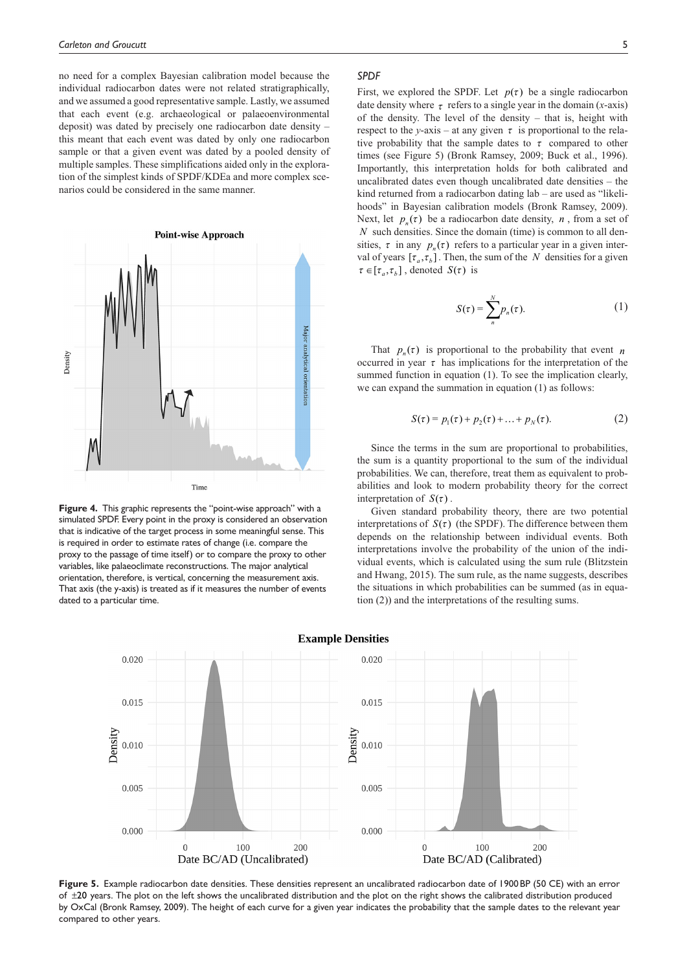no need for a complex Bayesian calibration model because the individual radiocarbon dates were not related stratigraphically, and we assumed a good representative sample. Lastly, we assumed that each event (e.g. archaeological or palaeoenvironmental deposit) was dated by precisely one radiocarbon date density – this meant that each event was dated by only one radiocarbon sample or that a given event was dated by a pooled density of multiple samples. These simplifications aided only in the exploration of the simplest kinds of SPDF/KDEa and more complex scenarios could be considered in the same manner.



**Figure 4.** This graphic represents the "point-wise approach" with a simulated SPDF. Every point in the proxy is considered an observation that is indicative of the target process in some meaningful sense. This is required in order to estimate rates of change (i.e. compare the proxy to the passage of time itself) or to compare the proxy to other variables, like palaeoclimate reconstructions. The major analytical orientation, therefore, is vertical, concerning the measurement axis. That axis (the y-axis) is treated as if it measures the number of events dated to a particular time.

#### *SPDF*

First, we explored the SPDF. Let  $p(\tau)$  be a single radiocarbon date density where  $\tau$  refers to a single year in the domain (*x*-axis) of the density. The level of the density – that is, height with respect to the *y*-axis – at any given  $\tau$  is proportional to the relative probability that the sample dates to  $\tau$  compared to other times (see Figure 5) (Bronk Ramsey, 2009; Buck et al., 1996). Importantly, this interpretation holds for both calibrated and uncalibrated dates even though uncalibrated date densities – the kind returned from a radiocarbon dating lab – are used as "likelihoods" in Bayesian calibration models (Bronk Ramsey, 2009). Next, let  $p_n(\tau)$  be a radiocarbon date density, *n*, from a set of *N* such densities. Since the domain (time) is common to all densities,  $\tau$  in any  $p_n(\tau)$  refers to a particular year in a given interval of years  $[\tau_a, \tau_b]$ . Then, the sum of the *N* densities for a given  $\tau \in [\tau_a, \tau_b]$ , denoted  $S(\tau)$  is

$$
S(\tau) = \sum_{n}^{N} p_n(\tau). \tag{1}
$$

That  $p_n(\tau)$  is proportional to the probability that event *n* occurred in year  $\tau$  has implications for the interpretation of the summed function in equation (1). To see the implication clearly, we can expand the summation in equation (1) as follows:

$$
S(\tau) = p_1(\tau) + p_2(\tau) + \dots + p_N(\tau). \tag{2}
$$

Since the terms in the sum are proportional to probabilities, the sum is a quantity proportional to the sum of the individual probabilities. We can, therefore, treat them as equivalent to probabilities and look to modern probability theory for the correct interpretation of  $S(\tau)$ .

Given standard probability theory, there are two potential interpretations of  $S(\tau)$  (the SPDF). The difference between them depends on the relationship between individual events. Both interpretations involve the probability of the union of the individual events, which is calculated using the sum rule (Blitzstein and Hwang, 2015). The sum rule, as the name suggests, describes the situations in which probabilities can be summed (as in equation (2)) and the interpretations of the resulting sums.



Figure 5. Example radiocarbon date densities. These densities represent an uncalibrated radiocarbon date of 1900BP (50 CE) with an error of ±20 years. The plot on the left shows the uncalibrated distribution and the plot on the right shows the calibrated distribution produced by OxCal (Bronk Ramsey, 2009). The height of each curve for a given year indicates the probability that the sample dates to the relevant year compared to other years.

**Example Densities**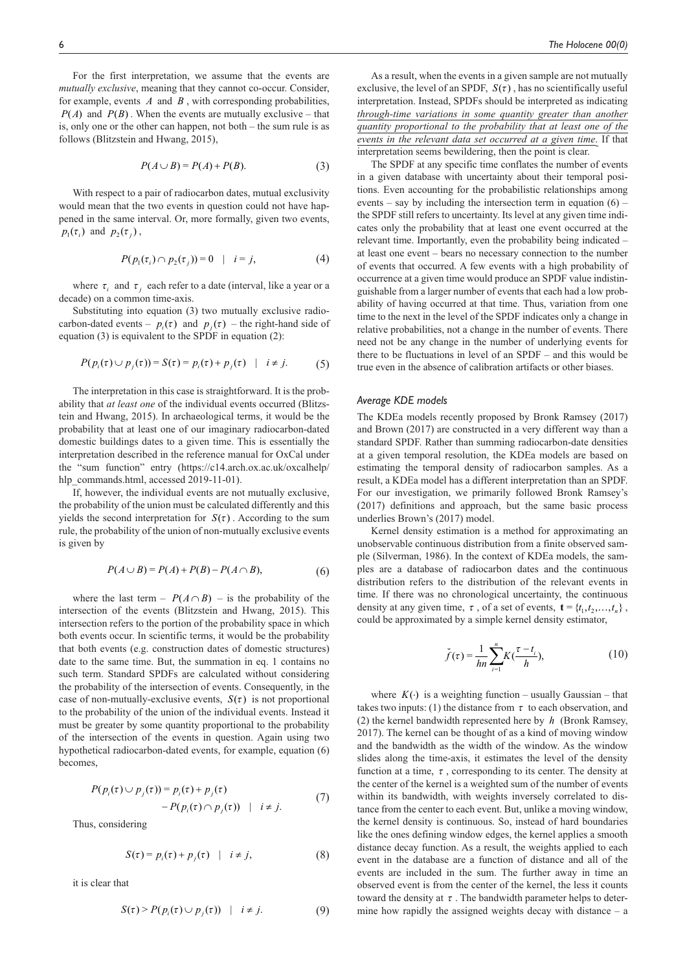For the first interpretation, we assume that the events are *mutually exclusive*, meaning that they cannot co-occur. Consider, for example, events  $A$  and  $B$ , with corresponding probabilities,  $P(A)$  and  $P(B)$ . When the events are mutually exclusive – that is, only one or the other can happen, not both – the sum rule is as follows (Blitzstein and Hwang, 2015),

$$
P(A \cup B) = P(A) + P(B). \tag{3}
$$

With respect to a pair of radiocarbon dates, mutual exclusivity would mean that the two events in question could not have happened in the same interval. Or, more formally, given two events,  $p_1(\tau_i)$  and  $p_2(\tau_i)$ ,

$$
P(p_1(\tau_i) \cap p_2(\tau_j)) = 0 \quad | \quad i = j,
$$
 (4)

where  $\tau_i$  and  $\tau_j$  each refer to a date (interval, like a year or a decade) on a common time-axis.

Substituting into equation (3) two mutually exclusive radiocarbon-dated events –  $p_i(\tau)$  and  $p_j(\tau)$  – the right-hand side of equation (3) is equivalent to the SPDF in equation (2):

$$
P(p_i(\tau) \cup p_j(\tau)) = S(\tau) = p_i(\tau) + p_j(\tau) \quad | \quad i \neq j. \tag{5}
$$

The interpretation in this case is straightforward. It is the probability that *at least one* of the individual events occurred (Blitzstein and Hwang, 2015). In archaeological terms, it would be the probability that at least one of our imaginary radiocarbon-dated domestic buildings dates to a given time. This is essentially the interpretation described in the reference manual for OxCal under the "sum function" entry [\(https://c14.arch.ox.ac.uk/oxcalhelp/](https://c14.arch.ox.ac.uk/oxcalhelp/hlp_commands.html) [hlp\\_commands.html,](https://c14.arch.ox.ac.uk/oxcalhelp/hlp_commands.html) accessed 2019-11-01).

If, however, the individual events are not mutually exclusive, the probability of the union must be calculated differently and this yields the second interpretation for  $S(\tau)$ . According to the sum rule, the probability of the union of non-mutually exclusive events is given by

$$
P(A \cup B) = P(A) + P(B) - P(A \cap B),\tag{6}
$$

where the last term –  $P(A \cap B)$  – is the probability of the intersection of the events (Blitzstein and Hwang, 2015). This intersection refers to the portion of the probability space in which both events occur. In scientific terms, it would be the probability that both events (e.g. construction dates of domestic structures) date to the same time. But, the summation in eq. 1 contains no such term. Standard SPDFs are calculated without considering the probability of the intersection of events. Consequently, in the case of non-mutually-exclusive events,  $S(\tau)$  is not proportional to the probability of the union of the individual events. Instead it must be greater by some quantity proportional to the probability of the intersection of the events in question. Again using two hypothetical radiocarbon-dated events, for example, equation (6) becomes,

$$
P(p_i(\tau) \cup p_j(\tau)) = p_i(\tau) + p_j(\tau)
$$
  
- P(p\_i(\tau) \cap p\_j(\tau)) | i \neq j. (7)

Thus, considering

$$
S(\tau) = p_i(\tau) + p_j(\tau) \quad | \quad i \neq j,
$$
 (8)

it is clear that

$$
S(\tau) > P(p_i(\tau) \cup p_j(\tau)) \quad | \quad i \neq j. \tag{9}
$$

As a result, when the events in a given sample are not mutually exclusive, the level of an SPDF,  $S(\tau)$ , has no scientifically useful interpretation. Instead, SPDFs should be interpreted as indicating *through-time variations in some quantity greater than another quantity proportional to the probability that at least one of the events in the relevant data set occurred at a given time*. If that interpretation seems bewildering, then the point is clear.

The SPDF at any specific time conflates the number of events in a given database with uncertainty about their temporal positions. Even accounting for the probabilistic relationships among events – say by including the intersection term in equation  $(6)$  – the SPDF still refers to uncertainty. Its level at any given time indicates only the probability that at least one event occurred at the relevant time. Importantly, even the probability being indicated – at least one event – bears no necessary connection to the number of events that occurred. A few events with a high probability of occurrence at a given time would produce an SPDF value indistinguishable from a larger number of events that each had a low probability of having occurred at that time. Thus, variation from one time to the next in the level of the SPDF indicates only a change in relative probabilities, not a change in the number of events. There need not be any change in the number of underlying events for there to be fluctuations in level of an SPDF – and this would be true even in the absence of calibration artifacts or other biases.

#### *Average KDE models*

The KDEa models recently proposed by Bronk Ramsey (2017) and Brown (2017) are constructed in a very different way than a standard SPDF. Rather than summing radiocarbon-date densities at a given temporal resolution, the KDEa models are based on estimating the temporal density of radiocarbon samples. As a result, a KDEa model has a different interpretation than an SPDF. For our investigation, we primarily followed Bronk Ramsey's (2017) definitions and approach, but the same basic process underlies Brown's (2017) model.

Kernel density estimation is a method for approximating an unobservable continuous distribution from a finite observed sample (Silverman, 1986). In the context of KDEa models, the samples are a database of radiocarbon dates and the continuous distribution refers to the distribution of the relevant events in time. If there was no chronological uncertainty, the continuous density at any given time,  $\tau$ , of a set of events,  $\mathbf{t} = \{t_1, t_2, \dots, t_n\}$ , could be approximated by a simple kernel density estimator,

$$
\breve{f}(\tau) = \frac{1}{hn} \sum_{i=1}^{n} K(\frac{\tau - t_i}{h}),
$$
\n(10)

where  $K(\cdot)$  is a weighting function – usually Gaussian – that takes two inputs: (1) the distance from  $\tau$  to each observation, and (2) the kernel bandwidth represented here by *h* (Bronk Ramsey, 2017). The kernel can be thought of as a kind of moving window and the bandwidth as the width of the window. As the window slides along the time-axis, it estimates the level of the density function at a time,  $\tau$ , corresponding to its center. The density at the center of the kernel is a weighted sum of the number of events within its bandwidth, with weights inversely correlated to distance from the center to each event. But, unlike a moving window, the kernel density is continuous. So, instead of hard boundaries like the ones defining window edges, the kernel applies a smooth distance decay function. As a result, the weights applied to each event in the database are a function of distance and all of the events are included in the sum. The further away in time an observed event is from the center of the kernel, the less it counts toward the density at  $\tau$ . The bandwidth parameter helps to determine how rapidly the assigned weights decay with distance  $-$  a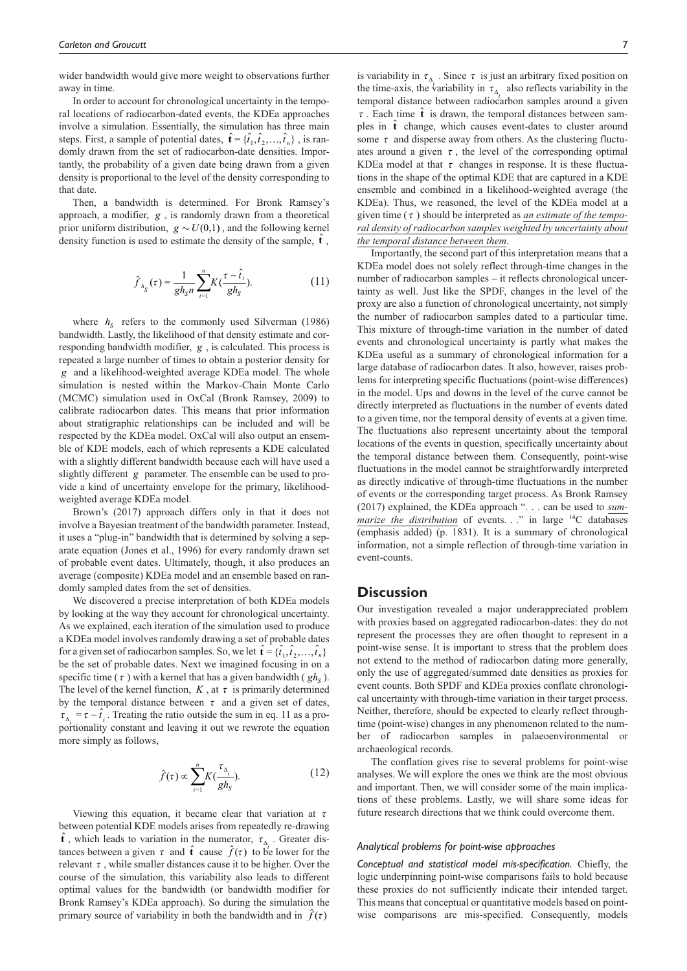wider bandwidth would give more weight to observations further away in time.

In order to account for chronological uncertainty in the temporal locations of radiocarbon-dated events, the KDEa approaches involve a simulation. Essentially, the simulation has three main steps. First, a sample of potential dates,  $\hat{\mathbf{t}} = {\hat{t}_1, \hat{t}_2, ..., \hat{t}_n}$ , is randomly drawn from the set of radiocarbon-date densities. Importantly, the probability of a given date being drawn from a given density is proportional to the level of the density corresponding to that date.

Then, a bandwidth is determined. For Bronk Ramsey's approach, a modifier, *g* , is randomly drawn from a theoretical prior uniform distribution,  $g \sim U(0,1)$ , and the following kernel density function is used to estimate the density of the sample,  $\hat{\mathbf{t}}$ ,

$$
\hat{f}_{h_S}(\tau) = \frac{1}{gh_S n} \sum_{i=1}^{n} K(\frac{\tau - \hat{t}_i}{gh_S}).
$$
\n(11)

where  $h<sub>S</sub>$  refers to the commonly used Silverman (1986) bandwidth. Lastly, the likelihood of that density estimate and corresponding bandwidth modifier, *g* , is calculated. This process is repeated a large number of times to obtain a posterior density for *g* and a likelihood-weighted average KDEa model. The whole simulation is nested within the Markov-Chain Monte Carlo (MCMC) simulation used in OxCal (Bronk Ramsey, 2009) to calibrate radiocarbon dates. This means that prior information about stratigraphic relationships can be included and will be respected by the KDEa model. OxCal will also output an ensemble of KDE models, each of which represents a KDE calculated with a slightly different bandwidth because each will have used a slightly different *g* parameter. The ensemble can be used to provide a kind of uncertainty envelope for the primary, likelihoodweighted average KDEa model.

Brown's (2017) approach differs only in that it does not involve a Bayesian treatment of the bandwidth parameter. Instead, it uses a "plug-in" bandwidth that is determined by solving a separate equation (Jones et al., 1996) for every randomly drawn set of probable event dates. Ultimately, though, it also produces an average (composite) KDEa model and an ensemble based on randomly sampled dates from the set of densities.

We discovered a precise interpretation of both KDEa models by looking at the way they account for chronological uncertainty. As we explained, each iteration of the simulation used to produce a KDEa model involves randomly drawing a set of probable dates for a given set of radiocarbon samples. So, we let  $\hat{\mathbf{t}} = {\hat{t}_1, \hat{t}_2, ..., \hat{t}_n}$ be the set of probable dates. Next we imagined focusing in on a specific time ( $\tau$ ) with a kernel that has a given bandwidth ( $gh<sub>s</sub>$ ). The level of the kernel function,  $K$ , at  $\tau$  is primarily determined by the temporal distance between  $\tau$  and a given set of dates,  $\tau_{\Delta_i} = \tau - \hat{t}_i$ . Treating the ratio outside the sum in eq. 11 as a proportionality constant and leaving it out we rewrote the equation more simply as follows,

$$
\hat{f}(\tau) \propto \sum_{i=1}^{n} K(\frac{\tau_{\Delta_i}}{gh_S}).
$$
\n(12)

Viewing this equation, it became clear that variation at  $\tau$ between potential KDE models arises from repeatedly re-drawing  $\hat{\mathbf{t}}$ , which leads to variation in the numerator,  $\tau_{\Delta}$ . Greater distances between a given  $\tau$  and  $\hat{\mathbf{t}}$  cause  $\hat{f}(\tau)$  to be lower for the relevant  $\tau$ , while smaller distances cause it to be higher. Over the course of the simulation, this variability also leads to different optimal values for the bandwidth (or bandwidth modifier for Bronk Ramsey's KDEa approach). So during the simulation the primary source of variability in both the bandwidth and in  $\hat{f}(\tau)$ 

is variability in  $\tau_{\Delta_i}$ . Since  $\tau$  is just an arbitrary fixed position on the time-axis, the variability in  $\tau_{\Delta_i}$  also reflects variability in the temporal distance between radiocarbon samples around a given  $\tau$ . Each time  $\hat{\mathbf{t}}$  is drawn, the temporal distances between samples in  $\hat{\mathbf{t}}$  change, which causes event-dates to cluster around some  $\tau$  and disperse away from others. As the clustering fluctuates around a given  $\tau$ , the level of the corresponding optimal KDEa model at that  $\tau$  changes in response. It is these fluctuations in the shape of the optimal KDE that are captured in a KDE ensemble and combined in a likelihood-weighted average (the KDEa). Thus, we reasoned, the level of the KDEa model at a given time (<sup>τ</sup> ) should be interpreted as *an estimate of the temporal density of radiocarbon samples weighted by uncertainty about the temporal distance between them*.

Importantly, the second part of this interpretation means that a KDEa model does not solely reflect through-time changes in the number of radiocarbon samples – it reflects chronological uncertainty as well. Just like the SPDF, changes in the level of the proxy are also a function of chronological uncertainty, not simply the number of radiocarbon samples dated to a particular time. This mixture of through-time variation in the number of dated events and chronological uncertainty is partly what makes the KDEa useful as a summary of chronological information for a large database of radiocarbon dates. It also, however, raises problems for interpreting specific fluctuations (point-wise differences) in the model. Ups and downs in the level of the curve cannot be directly interpreted as fluctuations in the number of events dated to a given time, nor the temporal density of events at a given time. The fluctuations also represent uncertainty about the temporal locations of the events in question, specifically uncertainty about the temporal distance between them. Consequently, point-wise fluctuations in the model cannot be straightforwardly interpreted as directly indicative of through-time fluctuations in the number of events or the corresponding target process. As Bronk Ramsey (2017) explained, the KDEa approach ". . . can be used to *summarize the distribution* of events. . ." in large <sup>14</sup>C databases (emphasis added) (p. 1831). It is a summary of chronological information, not a simple reflection of through-time variation in event-counts.

## **Discussion**

Our investigation revealed a major underappreciated problem with proxies based on aggregated radiocarbon-dates: they do not represent the processes they are often thought to represent in a point-wise sense. It is important to stress that the problem does not extend to the method of radiocarbon dating more generally, only the use of aggregated/summed date densities as proxies for event counts. Both SPDF and KDEa proxies conflate chronological uncertainty with through-time variation in their target process. Neither, therefore, should be expected to clearly reflect throughtime (point-wise) changes in any phenomenon related to the number of radiocarbon samples in palaeoenvironmental or archaeological records.

The conflation gives rise to several problems for point-wise analyses. We will explore the ones we think are the most obvious and important. Then, we will consider some of the main implications of these problems. Lastly, we will share some ideas for future research directions that we think could overcome them.

#### *Analytical problems for point-wise approaches*

*Conceptual and statistical model mis-specification.* Chiefly, the logic underpinning point-wise comparisons fails to hold because these proxies do not sufficiently indicate their intended target. This means that conceptual or quantitative models based on pointwise comparisons are mis-specified. Consequently, models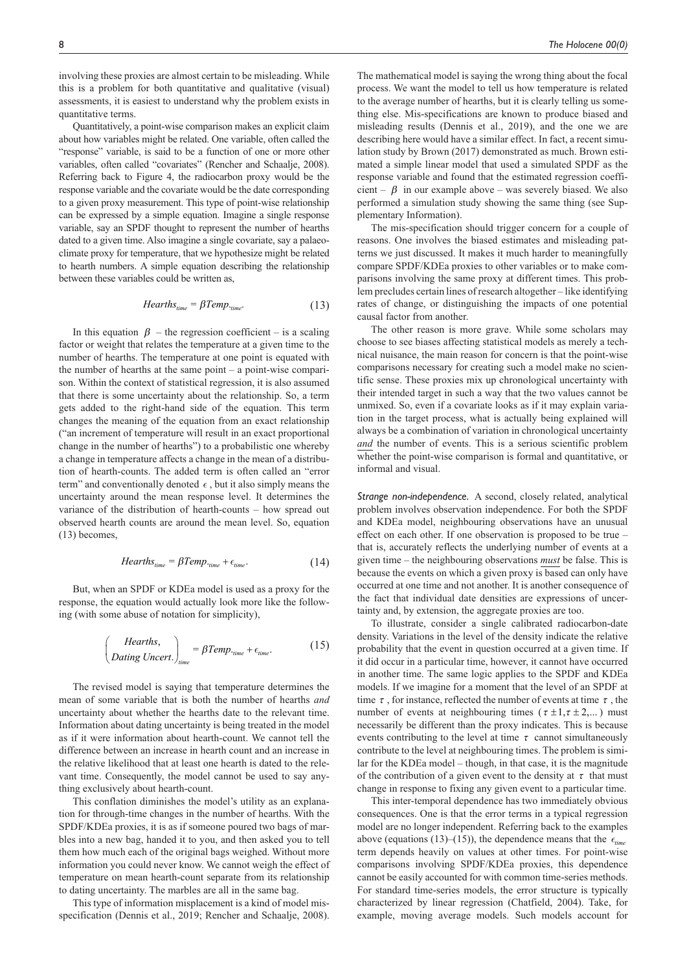involving these proxies are almost certain to be misleading. While this is a problem for both quantitative and qualitative (visual) assessments, it is easiest to understand why the problem exists in quantitative terms.

Quantitatively, a point-wise comparison makes an explicit claim about how variables might be related. One variable, often called the "response" variable, is said to be a function of one or more other variables, often called "covariates" (Rencher and Schaalje, 2008). Referring back to Figure 4, the radiocarbon proxy would be the response variable and the covariate would be the date corresponding to a given proxy measurement. This type of point-wise relationship can be expressed by a simple equation. Imagine a single response variable, say an SPDF thought to represent the number of hearths dated to a given time. Also imagine a single covariate, say a palaeoclimate proxy for temperature, that we hypothesize might be related to hearth numbers. A simple equation describing the relationship between these variables could be written as,

$$
Hearths_{time} = \beta Temp_{time}. \tag{13}
$$

In this equation  $\beta$  – the regression coefficient – is a scaling factor or weight that relates the temperature at a given time to the number of hearths. The temperature at one point is equated with the number of hearths at the same point – a point-wise comparison. Within the context of statistical regression, it is also assumed that there is some uncertainty about the relationship. So, a term gets added to the right-hand side of the equation. This term changes the meaning of the equation from an exact relationship ("an increment of temperature will result in an exact proportional change in the number of hearths") to a probabilistic one whereby a change in temperature affects a change in the mean of a distribution of hearth-counts. The added term is often called an "error term" and conventionally denoted  $\epsilon$ , but it also simply means the uncertainty around the mean response level. It determines the variance of the distribution of hearth-counts – how spread out observed hearth counts are around the mean level. So, equation (13) becomes,

$$
Hearths_{time} = \beta Temp_{time} + \epsilon_{time}. \tag{14}
$$

But, when an SPDF or KDEa model is used as a proxy for the response, the equation would actually look more like the following (with some abuse of notation for simplicity),

$$
\begin{pmatrix} \text{Hearths,} \\ \text{Dating Uncert.} \end{pmatrix}_{\text{time}} = \beta \text{Temp.}_{\text{time}} + \epsilon_{\text{time}}. \tag{15}
$$

The revised model is saying that temperature determines the mean of some variable that is both the number of hearths *and* uncertainty about whether the hearths date to the relevant time. Information about dating uncertainty is being treated in the model as if it were information about hearth-count. We cannot tell the difference between an increase in hearth count and an increase in the relative likelihood that at least one hearth is dated to the relevant time. Consequently, the model cannot be used to say anything exclusively about hearth-count.

This conflation diminishes the model's utility as an explanation for through-time changes in the number of hearths. With the SPDF/KDEa proxies, it is as if someone poured two bags of marbles into a new bag, handed it to you, and then asked you to tell them how much each of the original bags weighed. Without more information you could never know. We cannot weigh the effect of temperature on mean hearth-count separate from its relationship to dating uncertainty. The marbles are all in the same bag.

This type of information misplacement is a kind of model misspecification (Dennis et al., 2019; Rencher and Schaalje, 2008). The mathematical model is saying the wrong thing about the focal process. We want the model to tell us how temperature is related to the average number of hearths, but it is clearly telling us something else. Mis-specifications are known to produce biased and misleading results (Dennis et al., 2019), and the one we are describing here would have a similar effect. In fact, a recent simulation study by Brown (2017) demonstrated as much. Brown estimated a simple linear model that used a simulated SPDF as the response variable and found that the estimated regression coefficient –  $\beta$  in our example above – was severely biased. We also performed a simulation study showing the same thing (see Supplementary Information).

The mis-specification should trigger concern for a couple of reasons. One involves the biased estimates and misleading patterns we just discussed. It makes it much harder to meaningfully compare SPDF/KDEa proxies to other variables or to make comparisons involving the same proxy at different times. This problem precludes certain lines of research altogether – like identifying rates of change, or distinguishing the impacts of one potential causal factor from another.

The other reason is more grave. While some scholars may choose to see biases affecting statistical models as merely a technical nuisance, the main reason for concern is that the point-wise comparisons necessary for creating such a model make no scientific sense. These proxies mix up chronological uncertainty with their intended target in such a way that the two values cannot be unmixed. So, even if a covariate looks as if it may explain variation in the target process, what is actually being explained will always be a combination of variation in chronological uncertainty *and* the number of events. This is a serious scientific problem whether the point-wise comparison is formal and quantitative, or informal and visual.

*Strange non-independence.* A second, closely related, analytical problem involves observation independence. For both the SPDF and KDEa model, neighbouring observations have an unusual effect on each other. If one observation is proposed to be true – that is, accurately reflects the underlying number of events at a given time – the neighbouring observations *must* be false. This is because the events on which a given proxy is based can only have occurred at one time and not another. It is another consequence of the fact that individual date densities are expressions of uncertainty and, by extension, the aggregate proxies are too.

To illustrate, consider a single calibrated radiocarbon-date density. Variations in the level of the density indicate the relative probability that the event in question occurred at a given time. If it did occur in a particular time, however, it cannot have occurred in another time. The same logic applies to the SPDF and KDEa models. If we imagine for a moment that the level of an SPDF at time  $\tau$ , for instance, reflected the number of events at time  $\tau$ , the number of events at neighbouring times ( $\tau \pm 1, \tau \pm 2,...$ ) must necessarily be different than the proxy indicates. This is because events contributing to the level at time  $\tau$  cannot simultaneously contribute to the level at neighbouring times. The problem is similar for the KDEa model – though, in that case, it is the magnitude of the contribution of a given event to the density at  $\tau$  that must change in response to fixing any given event to a particular time.

This inter-temporal dependence has two immediately obvious consequences. One is that the error terms in a typical regression model are no longer independent. Referring back to the examples above (equations (13)–(15)), the dependence means that the  $\epsilon_{time}$ term depends heavily on values at other times. For point-wise comparisons involving SPDF/KDEa proxies, this dependence cannot be easily accounted for with common time-series methods. For standard time-series models, the error structure is typically characterized by linear regression (Chatfield, 2004). Take, for example, moving average models. Such models account for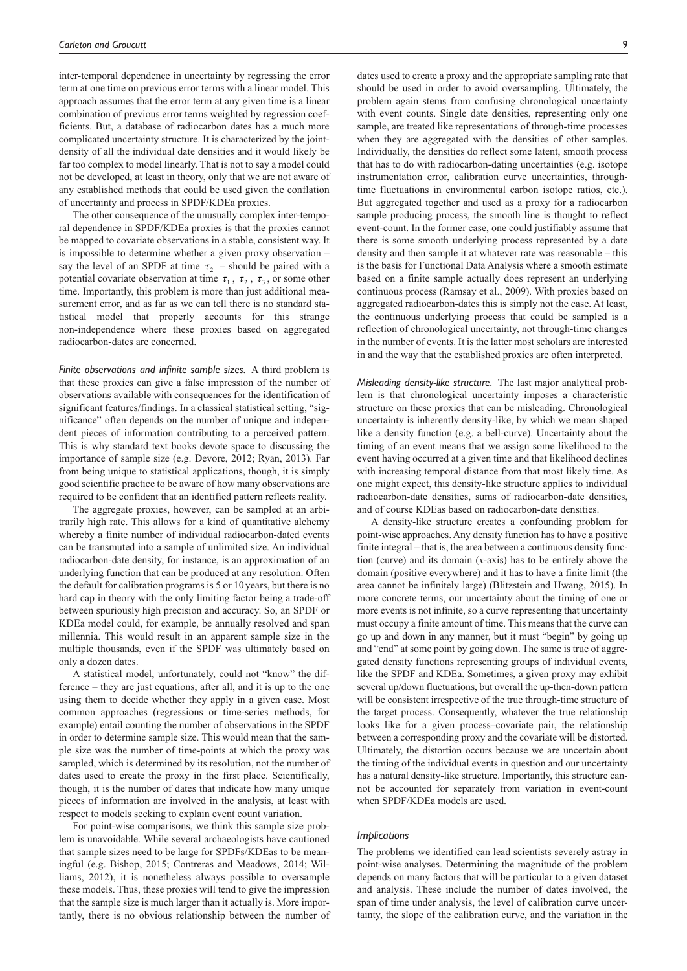inter-temporal dependence in uncertainty by regressing the error term at one time on previous error terms with a linear model. This approach assumes that the error term at any given time is a linear combination of previous error terms weighted by regression coefficients. But, a database of radiocarbon dates has a much more complicated uncertainty structure. It is characterized by the jointdensity of all the individual date densities and it would likely be far too complex to model linearly. That is not to say a model could not be developed, at least in theory, only that we are not aware of any established methods that could be used given the conflation of uncertainty and process in SPDF/KDEa proxies.

The other consequence of the unusually complex inter-temporal dependence in SPDF/KDEa proxies is that the proxies cannot be mapped to covariate observations in a stable, consistent way. It is impossible to determine whether a given proxy observation – say the level of an SPDF at time  $\tau_2$  – should be paired with a potential covariate observation at time  $\tau_1$ ,  $\tau_2$ ,  $\tau_3$ , or some other time. Importantly, this problem is more than just additional measurement error, and as far as we can tell there is no standard statistical model that properly accounts for this strange non-independence where these proxies based on aggregated radiocarbon-dates are concerned.

*Finite observations and infinite sample sizes.* A third problem is that these proxies can give a false impression of the number of observations available with consequences for the identification of significant features/findings. In a classical statistical setting, "significance" often depends on the number of unique and independent pieces of information contributing to a perceived pattern. This is why standard text books devote space to discussing the importance of sample size (e.g. Devore, 2012; Ryan, 2013). Far from being unique to statistical applications, though, it is simply good scientific practice to be aware of how many observations are required to be confident that an identified pattern reflects reality.

The aggregate proxies, however, can be sampled at an arbitrarily high rate. This allows for a kind of quantitative alchemy whereby a finite number of individual radiocarbon-dated events can be transmuted into a sample of unlimited size. An individual radiocarbon-date density, for instance, is an approximation of an underlying function that can be produced at any resolution. Often the default for calibration programs is 5 or 10years, but there is no hard cap in theory with the only limiting factor being a trade-off between spuriously high precision and accuracy. So, an SPDF or KDEa model could, for example, be annually resolved and span millennia. This would result in an apparent sample size in the multiple thousands, even if the SPDF was ultimately based on only a dozen dates.

A statistical model, unfortunately, could not "know" the difference – they are just equations, after all, and it is up to the one using them to decide whether they apply in a given case. Most common approaches (regressions or time-series methods, for example) entail counting the number of observations in the SPDF in order to determine sample size. This would mean that the sample size was the number of time-points at which the proxy was sampled, which is determined by its resolution, not the number of dates used to create the proxy in the first place. Scientifically, though, it is the number of dates that indicate how many unique pieces of information are involved in the analysis, at least with respect to models seeking to explain event count variation.

For point-wise comparisons, we think this sample size problem is unavoidable. While several archaeologists have cautioned that sample sizes need to be large for SPDFs/KDEas to be meaningful (e.g. Bishop, 2015; Contreras and Meadows, 2014; Williams, 2012), it is nonetheless always possible to oversample these models. Thus, these proxies will tend to give the impression that the sample size is much larger than it actually is. More importantly, there is no obvious relationship between the number of dates used to create a proxy and the appropriate sampling rate that should be used in order to avoid oversampling. Ultimately, the problem again stems from confusing chronological uncertainty with event counts. Single date densities, representing only one sample, are treated like representations of through-time processes when they are aggregated with the densities of other samples. Individually, the densities do reflect some latent, smooth process that has to do with radiocarbon-dating uncertainties (e.g. isotope instrumentation error, calibration curve uncertainties, throughtime fluctuations in environmental carbon isotope ratios, etc.). But aggregated together and used as a proxy for a radiocarbon sample producing process, the smooth line is thought to reflect event-count. In the former case, one could justifiably assume that there is some smooth underlying process represented by a date density and then sample it at whatever rate was reasonable – this is the basis for Functional Data Analysis where a smooth estimate based on a finite sample actually does represent an underlying continuous process (Ramsay et al., 2009). With proxies based on aggregated radiocarbon-dates this is simply not the case. At least, the continuous underlying process that could be sampled is a reflection of chronological uncertainty, not through-time changes in the number of events. It is the latter most scholars are interested in and the way that the established proxies are often interpreted.

*Misleading density-like structure.* The last major analytical problem is that chronological uncertainty imposes a characteristic structure on these proxies that can be misleading. Chronological uncertainty is inherently density-like, by which we mean shaped like a density function (e.g. a bell-curve). Uncertainty about the timing of an event means that we assign some likelihood to the event having occurred at a given time and that likelihood declines with increasing temporal distance from that most likely time. As one might expect, this density-like structure applies to individual radiocarbon-date densities, sums of radiocarbon-date densities, and of course KDEas based on radiocarbon-date densities.

A density-like structure creates a confounding problem for point-wise approaches. Any density function has to have a positive finite integral – that is, the area between a continuous density function (curve) and its domain (*x*-axis) has to be entirely above the domain (positive everywhere) and it has to have a finite limit (the area cannot be infinitely large) (Blitzstein and Hwang, 2015). In more concrete terms, our uncertainty about the timing of one or more events is not infinite, so a curve representing that uncertainty must occupy a finite amount of time. This means that the curve can go up and down in any manner, but it must "begin" by going up and "end" at some point by going down. The same is true of aggregated density functions representing groups of individual events, like the SPDF and KDEa. Sometimes, a given proxy may exhibit several up/down fluctuations, but overall the up-then-down pattern will be consistent irrespective of the true through-time structure of the target process. Consequently, whatever the true relationship looks like for a given process–covariate pair, the relationship between a corresponding proxy and the covariate will be distorted. Ultimately, the distortion occurs because we are uncertain about the timing of the individual events in question and our uncertainty has a natural density-like structure. Importantly, this structure cannot be accounted for separately from variation in event-count when SPDF/KDEa models are used.

#### *Implications*

The problems we identified can lead scientists severely astray in point-wise analyses. Determining the magnitude of the problem depends on many factors that will be particular to a given dataset and analysis. These include the number of dates involved, the span of time under analysis, the level of calibration curve uncertainty, the slope of the calibration curve, and the variation in the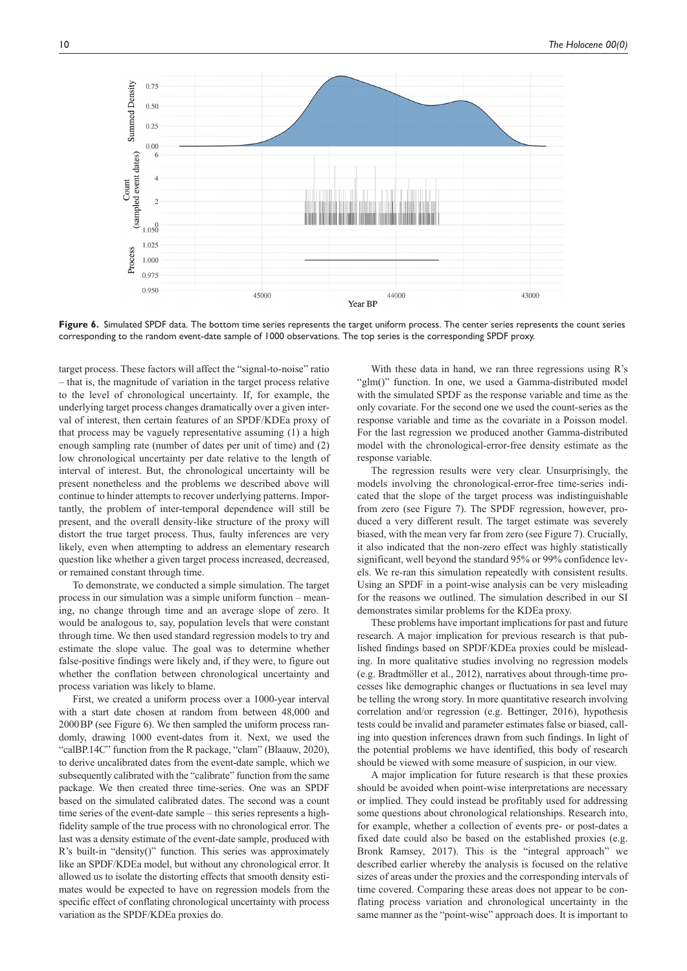

Figure 6. Simulated SPDF data. The bottom time series represents the target uniform process. The center series represents the count series corresponding to the random event-date sample of 1000 observations. The top series is the corresponding SPDF proxy.

target process. These factors will affect the "signal-to-noise" ratio – that is, the magnitude of variation in the target process relative to the level of chronological uncertainty. If, for example, the underlying target process changes dramatically over a given interval of interest, then certain features of an SPDF/KDEa proxy of that process may be vaguely representative assuming (1) a high enough sampling rate (number of dates per unit of time) and (2) low chronological uncertainty per date relative to the length of interval of interest. But, the chronological uncertainty will be present nonetheless and the problems we described above will continue to hinder attempts to recover underlying patterns. Importantly, the problem of inter-temporal dependence will still be present, and the overall density-like structure of the proxy will distort the true target process. Thus, faulty inferences are very likely, even when attempting to address an elementary research question like whether a given target process increased, decreased, or remained constant through time.

To demonstrate, we conducted a simple simulation. The target process in our simulation was a simple uniform function – meaning, no change through time and an average slope of zero. It would be analogous to, say, population levels that were constant through time. We then used standard regression models to try and estimate the slope value. The goal was to determine whether false-positive findings were likely and, if they were, to figure out whether the conflation between chronological uncertainty and process variation was likely to blame.

First, we created a uniform process over a 1000-year interval with a start date chosen at random from between 48,000 and 2000BP (see Figure 6). We then sampled the uniform process randomly, drawing 1000 event-dates from it. Next, we used the "calBP.14C" function from the R package, "clam" (Blaauw, 2020), to derive uncalibrated dates from the event-date sample, which we subsequently calibrated with the "calibrate" function from the same package. We then created three time-series. One was an SPDF based on the simulated calibrated dates. The second was a count time series of the event-date sample – this series represents a highfidelity sample of the true process with no chronological error. The last was a density estimate of the event-date sample, produced with R's built-in "density()" function. This series was approximately like an SPDF/KDEa model, but without any chronological error. It allowed us to isolate the distorting effects that smooth density estimates would be expected to have on regression models from the specific effect of conflating chronological uncertainty with process variation as the SPDF/KDEa proxies do.

With these data in hand, we ran three regressions using R's "glm()" function. In one, we used a Gamma-distributed model with the simulated SPDF as the response variable and time as the only covariate. For the second one we used the count-series as the response variable and time as the covariate in a Poisson model. For the last regression we produced another Gamma-distributed model with the chronological-error-free density estimate as the response variable.

The regression results were very clear. Unsurprisingly, the models involving the chronological-error-free time-series indicated that the slope of the target process was indistinguishable from zero (see Figure 7). The SPDF regression, however, produced a very different result. The target estimate was severely biased, with the mean very far from zero (see Figure 7). Crucially, it also indicated that the non-zero effect was highly statistically significant, well beyond the standard 95% or 99% confidence levels. We re-ran this simulation repeatedly with consistent results. Using an SPDF in a point-wise analysis can be very misleading for the reasons we outlined. The simulation described in our SI demonstrates similar problems for the KDEa proxy.

These problems have important implications for past and future research. A major implication for previous research is that published findings based on SPDF/KDEa proxies could be misleading. In more qualitative studies involving no regression models (e.g. Bradtmöller et al., 2012), narratives about through-time processes like demographic changes or fluctuations in sea level may be telling the wrong story. In more quantitative research involving correlation and/or regression (e.g. Bettinger, 2016), hypothesis tests could be invalid and parameter estimates false or biased, calling into question inferences drawn from such findings. In light of the potential problems we have identified, this body of research should be viewed with some measure of suspicion, in our view.

A major implication for future research is that these proxies should be avoided when point-wise interpretations are necessary or implied. They could instead be profitably used for addressing some questions about chronological relationships. Research into, for example, whether a collection of events pre- or post-dates a fixed date could also be based on the established proxies (e.g. Bronk Ramsey, 2017). This is the "integral approach" we described earlier whereby the analysis is focused on the relative sizes of areas under the proxies and the corresponding intervals of time covered. Comparing these areas does not appear to be conflating process variation and chronological uncertainty in the same manner as the "point-wise" approach does. It is important to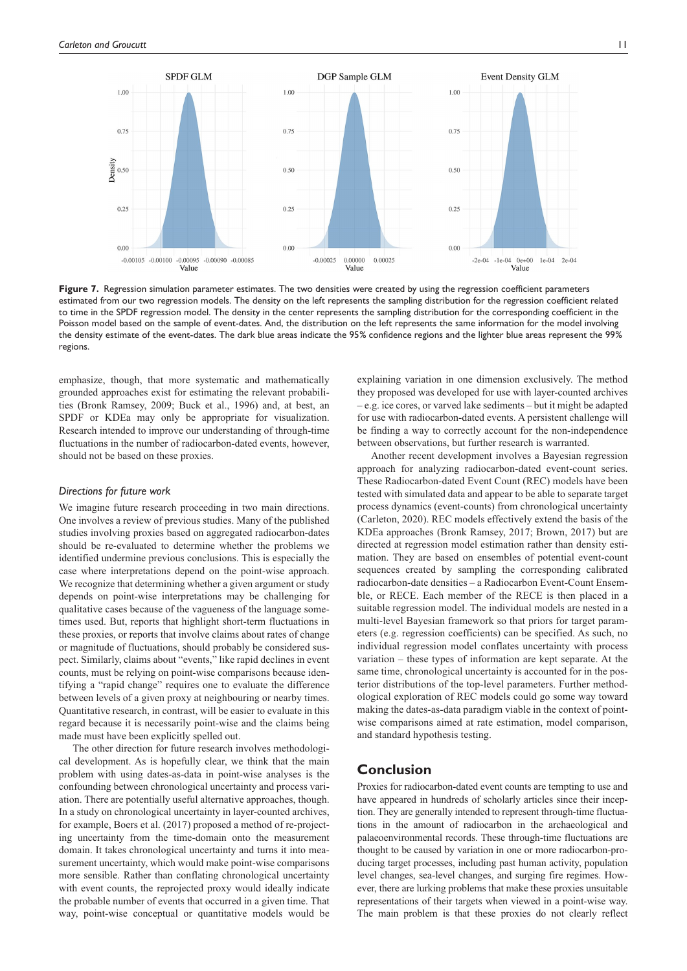

Figure 7. Regression simulation parameter estimates. The two densities were created by using the regression coefficient parameters estimated from our two regression models. The density on the left represents the sampling distribution for the regression coefficient related to time in the SPDF regression model. The density in the center represents the sampling distribution for the corresponding coefficient in the Poisson model based on the sample of event-dates. And, the distribution on the left represents the same information for the model involving the density estimate of the event-dates. The dark blue areas indicate the 95% confidence regions and the lighter blue areas represent the 99% regions.

emphasize, though, that more systematic and mathematically grounded approaches exist for estimating the relevant probabilities (Bronk Ramsey, 2009; Buck et al., 1996) and, at best, an SPDF or KDEa may only be appropriate for visualization. Research intended to improve our understanding of through-time fluctuations in the number of radiocarbon-dated events, however, should not be based on these proxies.

#### *Directions for future work*

We imagine future research proceeding in two main directions. One involves a review of previous studies. Many of the published studies involving proxies based on aggregated radiocarbon-dates should be re-evaluated to determine whether the problems we identified undermine previous conclusions. This is especially the case where interpretations depend on the point-wise approach. We recognize that determining whether a given argument or study depends on point-wise interpretations may be challenging for qualitative cases because of the vagueness of the language sometimes used. But, reports that highlight short-term fluctuations in these proxies, or reports that involve claims about rates of change or magnitude of fluctuations, should probably be considered suspect. Similarly, claims about "events," like rapid declines in event counts, must be relying on point-wise comparisons because identifying a "rapid change" requires one to evaluate the difference between levels of a given proxy at neighbouring or nearby times. Quantitative research, in contrast, will be easier to evaluate in this regard because it is necessarily point-wise and the claims being made must have been explicitly spelled out.

The other direction for future research involves methodological development. As is hopefully clear, we think that the main problem with using dates-as-data in point-wise analyses is the confounding between chronological uncertainty and process variation. There are potentially useful alternative approaches, though. In a study on chronological uncertainty in layer-counted archives, for example, Boers et al. (2017) proposed a method of re-projecting uncertainty from the time-domain onto the measurement domain. It takes chronological uncertainty and turns it into measurement uncertainty, which would make point-wise comparisons more sensible. Rather than conflating chronological uncertainty with event counts, the reprojected proxy would ideally indicate the probable number of events that occurred in a given time. That way, point-wise conceptual or quantitative models would be

explaining variation in one dimension exclusively. The method they proposed was developed for use with layer-counted archives – e.g. ice cores, or varved lake sediments – but it might be adapted for use with radiocarbon-dated events. A persistent challenge will be finding a way to correctly account for the non-independence between observations, but further research is warranted.

Another recent development involves a Bayesian regression approach for analyzing radiocarbon-dated event-count series. These Radiocarbon-dated Event Count (REC) models have been tested with simulated data and appear to be able to separate target process dynamics (event-counts) from chronological uncertainty (Carleton, 2020). REC models effectively extend the basis of the KDEa approaches (Bronk Ramsey, 2017; Brown, 2017) but are directed at regression model estimation rather than density estimation. They are based on ensembles of potential event-count sequences created by sampling the corresponding calibrated radiocarbon-date densities – a Radiocarbon Event-Count Ensemble, or RECE. Each member of the RECE is then placed in a suitable regression model. The individual models are nested in a multi-level Bayesian framework so that priors for target parameters (e.g. regression coefficients) can be specified. As such, no individual regression model conflates uncertainty with process variation – these types of information are kept separate. At the same time, chronological uncertainty is accounted for in the posterior distributions of the top-level parameters. Further methodological exploration of REC models could go some way toward making the dates-as-data paradigm viable in the context of pointwise comparisons aimed at rate estimation, model comparison, and standard hypothesis testing.

# **Conclusion**

Proxies for radiocarbon-dated event counts are tempting to use and have appeared in hundreds of scholarly articles since their inception. They are generally intended to represent through-time fluctuations in the amount of radiocarbon in the archaeological and palaeoenvironmental records. These through-time fluctuations are thought to be caused by variation in one or more radiocarbon-producing target processes, including past human activity, population level changes, sea-level changes, and surging fire regimes. However, there are lurking problems that make these proxies unsuitable representations of their targets when viewed in a point-wise way. The main problem is that these proxies do not clearly reflect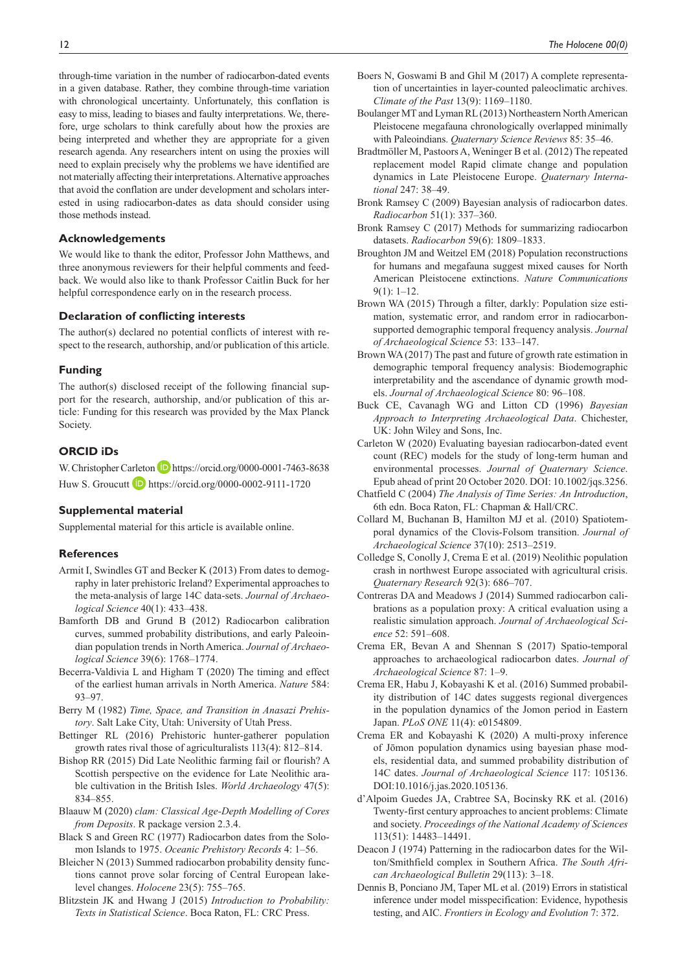through-time variation in the number of radiocarbon-dated events in a given database. Rather, they combine through-time variation with chronological uncertainty. Unfortunately, this conflation is easy to miss, leading to biases and faulty interpretations. We, therefore, urge scholars to think carefully about how the proxies are being interpreted and whether they are appropriate for a given research agenda. Any researchers intent on using the proxies will need to explain precisely why the problems we have identified are not materially affecting their interpretations. Alternative approaches that avoid the conflation are under development and scholars interested in using radiocarbon-dates as data should consider using those methods instead.

#### **Acknowledgements**

We would like to thank the editor, Professor John Matthews, and three anonymous reviewers for their helpful comments and feedback. We would also like to thank Professor Caitlin Buck for her helpful correspondence early on in the research process.

#### **Declaration of conflicting interests**

The author(s) declared no potential conflicts of interest with respect to the research, authorship, and/or publication of this article.

#### **Funding**

The author(s) disclosed receipt of the following financial support for the research, authorship, and/or publication of this article: Funding for this research was provided by the Max Planck Society.

# **ORCID iDs**

W. Christopher Carleton D <https://orcid.org/0000-0001-7463-8638> Huw S. Groucutt **D** <https://orcid.org/0000-0002-9111-1720>

## **Supplemental material**

Supplemental material for this article is available online.

## **References**

- Armit I, Swindles GT and Becker K (2013) From dates to demography in later prehistoric Ireland? Experimental approaches to the meta-analysis of large 14C data-sets. *Journal of Archaeological Science* 40(1): 433–438.
- Bamforth DB and Grund B (2012) Radiocarbon calibration curves, summed probability distributions, and early Paleoindian population trends in North America. *Journal of Archaeological Science* 39(6): 1768–1774.
- Becerra-Valdivia L and Higham T (2020) The timing and effect of the earliest human arrivals in North America. *Nature* 584: 93–97.
- Berry M (1982) *Time, Space, and Transition in Anasazi Prehistory*. Salt Lake City, Utah: University of Utah Press.
- Bettinger RL (2016) Prehistoric hunter-gatherer population growth rates rival those of agriculturalists 113(4): 812–814.
- Bishop RR (2015) Did Late Neolithic farming fail or flourish? A Scottish perspective on the evidence for Late Neolithic arable cultivation in the British Isles. *World Archaeology* 47(5): 834–855.
- Blaauw M (2020) *clam: Classical Age-Depth Modelling of Cores from Deposits*. R package version 2.3.4.
- Black S and Green RC (1977) Radiocarbon dates from the Solomon Islands to 1975. *Oceanic Prehistory Records* 4: 1–56.
- Bleicher N (2013) Summed radiocarbon probability density functions cannot prove solar forcing of Central European lakelevel changes. *Holocene* 23(5): 755–765.
- Blitzstein JK and Hwang J (2015) *Introduction to Probability: Texts in Statistical Science*. Boca Raton, FL: CRC Press.
- Boers N, Goswami B and Ghil M (2017) A complete representation of uncertainties in layer-counted paleoclimatic archives. *Climate of the Past* 13(9): 1169–1180.
- Boulanger MT and Lyman RL (2013) Northeastern North American Pleistocene megafauna chronologically overlapped minimally with Paleoindians. *Quaternary Science Reviews* 85: 35–46.
- Bradtmöller M, Pastoors A, Weninger B et al. (2012) The repeated replacement model Rapid climate change and population dynamics in Late Pleistocene Europe. *Quaternary International* 247: 38–49.
- Bronk Ramsey C (2009) Bayesian analysis of radiocarbon dates. *Radiocarbon* 51(1): 337–360.
- Bronk Ramsey C (2017) Methods for summarizing radiocarbon datasets. *Radiocarbon* 59(6): 1809–1833.
- Broughton JM and Weitzel EM (2018) Population reconstructions for humans and megafauna suggest mixed causes for North American Pleistocene extinctions. *Nature Communications* 9(1): 1–12.
- Brown WA (2015) Through a filter, darkly: Population size estimation, systematic error, and random error in radiocarbonsupported demographic temporal frequency analysis. *Journal of Archaeological Science* 53: 133–147.
- Brown WA (2017) The past and future of growth rate estimation in demographic temporal frequency analysis: Biodemographic interpretability and the ascendance of dynamic growth models. *Journal of Archaeological Science* 80: 96–108.
- Buck CE, Cavanagh WG and Litton CD (1996) *Bayesian Approach to Interpreting Archaeological Data*. Chichester, UK: John Wiley and Sons, Inc.
- Carleton W (2020) Evaluating bayesian radiocarbon-dated event count (REC) models for the study of long-term human and environmental processes. *Journal of Quaternary Science*. Epub ahead of print 20 October 2020. DOI: 10.1002/jqs.3256.
- Chatfield C (2004) *The Analysis of Time Series: An Introduction*, 6th edn. Boca Raton, FL: Chapman & Hall/CRC.
- Collard M, Buchanan B, Hamilton MJ et al. (2010) Spatiotemporal dynamics of the Clovis-Folsom transition. *Journal of Archaeological Science* 37(10): 2513–2519.
- Colledge S, Conolly J, Crema E et al. (2019) Neolithic population crash in northwest Europe associated with agricultural crisis. *Quaternary Research* 92(3): 686–707.
- Contreras DA and Meadows J (2014) Summed radiocarbon calibrations as a population proxy: A critical evaluation using a realistic simulation approach. *Journal of Archaeological Science* 52: 591–608.
- Crema ER, Bevan A and Shennan S (2017) Spatio-temporal approaches to archaeological radiocarbon dates. *Journal of Archaeological Science* 87: 1–9.
- Crema ER, Habu J, Kobayashi K et al. (2016) Summed probability distribution of 14C dates suggests regional divergences in the population dynamics of the Jomon period in Eastern Japan. *PLoS ONE* 11(4): e0154809.
- Crema ER and Kobayashi K (2020) A multi-proxy inference of Jōmon population dynamics using bayesian phase models, residential data, and summed probability distribution of 14C dates. *Journal of Archaeological Science* 117: 105136. DOI:10.1016/j.jas.2020.105136.
- d'Alpoim Guedes JA, Crabtree SA, Bocinsky RK et al. (2016) Twenty-first century approaches to ancient problems: Climate and society. *Proceedings of the National Academy of Sciences* 113(51): 14483–14491.
- Deacon J (1974) Patterning in the radiocarbon dates for the Wilton/Smithfield complex in Southern Africa. *The South African Archaeological Bulletin* 29(113): 3–18.
- Dennis B, Ponciano JM, Taper ML et al. (2019) Errors in statistical inference under model misspecification: Evidence, hypothesis testing, and AIC. *Frontiers in Ecology and Evolution* 7: 372.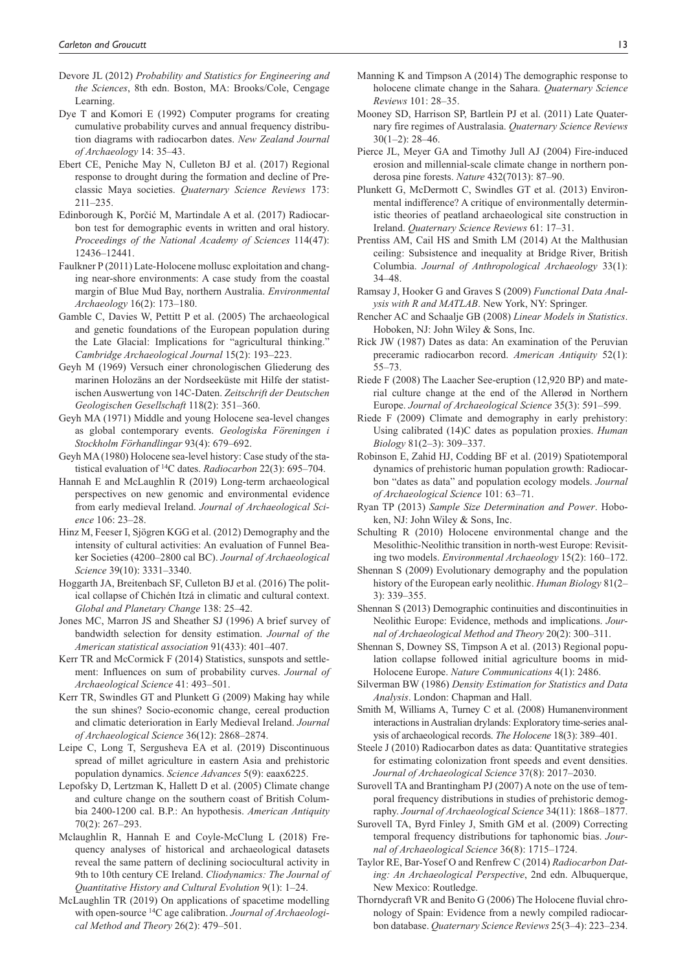- Devore JL (2012) *Probability and Statistics for Engineering and the Sciences*, 8th edn. Boston, MA: Brooks/Cole, Cengage Learning.
- Dye T and Komori E (1992) Computer programs for creating cumulative probability curves and annual frequency distribution diagrams with radiocarbon dates. *New Zealand Journal of Archaeology* 14: 35–43.
- Ebert CE, Peniche May N, Culleton BJ et al. (2017) Regional response to drought during the formation and decline of Preclassic Maya societies. *Quaternary Science Reviews* 173: 211–235.
- Edinborough K, Porčić M, Martindale A et al. (2017) Radiocarbon test for demographic events in written and oral history. *Proceedings of the National Academy of Sciences* 114(47): 12436–12441.
- Faulkner P (2011) Late-Holocene mollusc exploitation and changing near-shore environments: A case study from the coastal margin of Blue Mud Bay, northern Australia. *Environmental Archaeology* 16(2): 173–180.
- Gamble C, Davies W, Pettitt P et al. (2005) The archaeological and genetic foundations of the European population during the Late Glacial: Implications for "agricultural thinking." *Cambridge Archaeological Journal* 15(2): 193–223.
- Geyh M (1969) Versuch einer chronologischen Gliederung des marinen Holozäns an der Nordseeküste mit Hilfe der statistischen Auswertung von 14C-Daten. *Zeitschrift der Deutschen Geologischen Gesellschaft* 118(2): 351–360.
- Geyh MA (1971) Middle and young Holocene sea-level changes as global contemporary events. *Geologiska Föreningen i Stockholm Förhandlingar* 93(4): 679–692.
- Geyh MA (1980) Holocene sea-level history: Case study of the statistical evaluation of 14C dates. *Radiocarbon* 22(3): 695–704.
- Hannah E and McLaughlin R (2019) Long-term archaeological perspectives on new genomic and environmental evidence from early medieval Ireland. *Journal of Archaeological Science* 106: 23–28.
- Hinz M, Feeser I, Sjögren KGG et al. (2012) Demography and the intensity of cultural activities: An evaluation of Funnel Beaker Societies (4200–2800 cal BC). *Journal of Archaeological Science* 39(10): 3331–3340.
- Hoggarth JA, Breitenbach SF, Culleton BJ et al. (2016) The political collapse of Chichén Itzá in climatic and cultural context. *Global and Planetary Change* 138: 25–42.
- Jones MC, Marron JS and Sheather SJ (1996) A brief survey of bandwidth selection for density estimation. *Journal of the American statistical association* 91(433): 401–407.
- Kerr TR and McCormick F (2014) Statistics, sunspots and settlement: Influences on sum of probability curves. *Journal of Archaeological Science* 41: 493–501.
- Kerr TR, Swindles GT and Plunkett G (2009) Making hay while the sun shines? Socio-economic change, cereal production and climatic deterioration in Early Medieval Ireland. *Journal of Archaeological Science* 36(12): 2868–2874.
- Leipe C, Long T, Sergusheva EA et al. (2019) Discontinuous spread of millet agriculture in eastern Asia and prehistoric population dynamics. *Science Advances* 5(9): eaax6225.
- Lepofsky D, Lertzman K, Hallett D et al. (2005) Climate change and culture change on the southern coast of British Columbia 2400-1200 cal. B.P.: An hypothesis. *American Antiquity* 70(2): 267–293.
- Mclaughlin R, Hannah E and Coyle-McClung L (2018) Frequency analyses of historical and archaeological datasets reveal the same pattern of declining sociocultural activity in 9th to 10th century CE Ireland. *Cliodynamics: The Journal of Quantitative History and Cultural Evolution* 9(1): 1–24.
- McLaughlin TR (2019) On applications of spacetime modelling with open-source 14C age calibration. *Journal of Archaeological Method and Theory* 26(2): 479–501.
- Manning K and Timpson A (2014) The demographic response to holocene climate change in the Sahara. *Quaternary Science Reviews* 101: 28–35.
- Mooney SD, Harrison SP, Bartlein PJ et al. (2011) Late Quaternary fire regimes of Australasia. *Quaternary Science Reviews*  $30(1-2)$ : 28-46.
- Pierce JL, Meyer GA and Timothy Jull AJ (2004) Fire-induced erosion and millennial-scale climate change in northern ponderosa pine forests. *Nature* 432(7013): 87–90.
- Plunkett G, McDermott C, Swindles GT et al. (2013) Environmental indifference? A critique of environmentally deterministic theories of peatland archaeological site construction in Ireland. *Quaternary Science Reviews* 61: 17–31.
- Prentiss AM, Cail HS and Smith LM (2014) At the Malthusian ceiling: Subsistence and inequality at Bridge River, British Columbia. *Journal of Anthropological Archaeology* 33(1): 34–48.
- Ramsay J, Hooker G and Graves S (2009) *Functional Data Analysis with R and MATLAB*. New York, NY: Springer.
- Rencher AC and Schaalje GB (2008) *Linear Models in Statistics*. Hoboken, NJ: John Wiley & Sons, Inc.
- Rick JW (1987) Dates as data: An examination of the Peruvian preceramic radiocarbon record. *American Antiquity* 52(1): 55–73.
- Riede F (2008) The Laacher See-eruption (12,920 BP) and material culture change at the end of the Allerød in Northern Europe. *Journal of Archaeological Science* 35(3): 591–599.
- Riede F (2009) Climate and demography in early prehistory: Using calibrated (14)C dates as population proxies. *Human Biology* 81(2–3): 309–337.
- Robinson E, Zahid HJ, Codding BF et al. (2019) Spatiotemporal dynamics of prehistoric human population growth: Radiocarbon "dates as data" and population ecology models. *Journal of Archaeological Science* 101: 63–71.
- Ryan TP (2013) *Sample Size Determination and Power*. Hoboken, NJ: John Wiley & Sons, Inc.
- Schulting R (2010) Holocene environmental change and the Mesolithic-Neolithic transition in north-west Europe: Revisiting two models. *Environmental Archaeology* 15(2): 160–172.
- Shennan S (2009) Evolutionary demography and the population history of the European early neolithic. *Human Biology* 81(2– 3): 339–355.
- Shennan S (2013) Demographic continuities and discontinuities in Neolithic Europe: Evidence, methods and implications. *Journal of Archaeological Method and Theory* 20(2): 300–311.
- Shennan S, Downey SS, Timpson A et al. (2013) Regional population collapse followed initial agriculture booms in mid-Holocene Europe. *Nature Communications* 4(1): 2486.
- Silverman BW (1986) *Density Estimation for Statistics and Data Analysis*. London: Chapman and Hall.
- Smith M, Williams A, Turney C et al. (2008) Humanenvironment interactions in Australian drylands: Exploratory time-series analysis of archaeological records. *The Holocene* 18(3): 389–401.
- Steele J (2010) Radiocarbon dates as data: Quantitative strategies for estimating colonization front speeds and event densities. *Journal of Archaeological Science* 37(8): 2017–2030.
- Surovell TA and Brantingham PJ (2007) A note on the use of temporal frequency distributions in studies of prehistoric demography. *Journal of Archaeological Science* 34(11): 1868–1877.
- Surovell TA, Byrd Finley J, Smith GM et al. (2009) Correcting temporal frequency distributions for taphonomic bias. *Journal of Archaeological Science* 36(8): 1715–1724.
- Taylor RE, Bar-Yosef O and Renfrew C (2014) *Radiocarbon Dating: An Archaeological Perspective*, 2nd edn. Albuquerque, New Mexico: Routledge.
- Thorndycraft VR and Benito G (2006) The Holocene fluvial chronology of Spain: Evidence from a newly compiled radiocarbon database. *Quaternary Science Reviews* 25(3–4): 223–234.